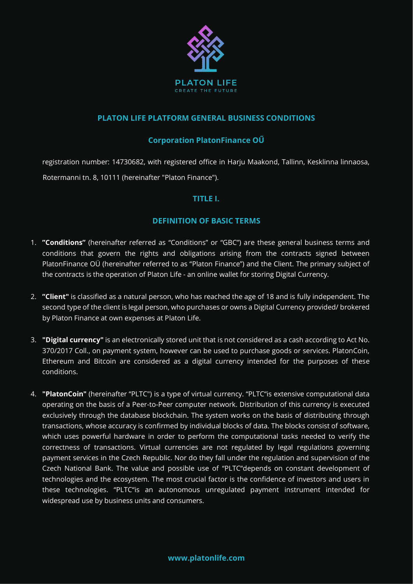

### **PLATON LIFE PLATFORM GENERAL BUSINESS CONDITIONS**

## **Corporation PlatonFinance OŰ**

registration number: 14730682, with registered office in Harju Maakond, Tallinn, Kesklinna linnaosa, Rotermanni tn. 8, 10111 (hereinafter "Platon Finance").

### **TITLE I.**

### **DEFINITION OF BASIC TERMS**

- 1. **"Conditions"** (hereinafter referred as "Conditions" or "GBC") are these general business terms and conditions that govern the rights and obligations arising from the contracts signed between PlatonFinance OÜ (hereinafter referred to as "Platon Finance") and the Client. The primary subject of the contracts is the operation of Platon Life - an online wallet for storing Digital Currency.
- 2. **"Client"** is classified as a natural person, who has reached the age of 18 and is fully independent. The second type of the client is legal person, who purchases or owns a Digital Currency provided/ brokered by Platon Finance at own expenses at Platon Life.
- 3. **"Digital currency"** is an electronically stored unit that is not considered as a cash according to Act No. 370/2017 Coll., on payment system, however can be used to purchase goods or services. PlatonCoin, Ethereum and Bitcoin are considered as a digital currency intended for the purposes of these conditions.
- 4. **"PlatonCoin"** (hereinafter "PLTC") is a type of virtual currency. "PLTC"is extensive computational data operating on the basis of a Peer-to-Peer computer network. Distribution of this currency is executed exclusively through the database blockchain. The system works on the basis of distributing through transactions, whose accuracy is confirmed by individual blocks of data. The blocks consist of software, which uses powerful hardware in order to perform the computational tasks needed to verify the correctness of transactions. Virtual currencies are not regulated by legal regulations governing payment services in the Czech Republic. Nor do they fall under the regulation and supervision of the Czech National Bank. The value and possible use of "PLTC"depends on constant development of technologies and the ecosystem. The most crucial factor is the confidence of investors and users in these technologies. "PLTC"is an autonomous unregulated payment instrument intended for widespread use by business units and consumers.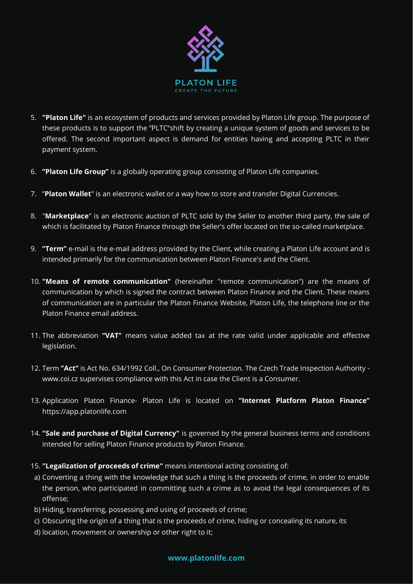

- 5. **"Platon Life"** is an ecosystem of products and services provided by Platon Life group. The purpose of these products is to support the "PLTC"shift by creating a unique system of goods and services to be offered. The second important aspect is demand for entities having and accepting PLTC in their payment system.
- 6. **"Platon Life Group"** is a globally operating group consisting of Platon Life companies.
- 7. "**Platon Wallet**" is an electronic wallet or a way how to store and transfer Digital Currencies.
- 8. "**Marketplace**" is an electronic auction of PLTC sold by the Seller to another third party, the sale of which is facilitated by Platon Finance through the Seller's offer located on the so-called marketplace.
- 9. **"Term"** e-mail is the e-mail address provided by the Client, while creating a Platon Life account and is intended primarily for the communication between Platon Finance's and the Client.
- 10. **"Means of remote communication"** (hereinafter "remote communication") are the means of communication by which is signed the contract between Platon Finance and the Client. These means of communication are in particular the Platon Finance Website, Platon Life, the telephone line or the Platon Finance email address.
- 11. The abbreviation **"VAT"** means value added tax at the rate valid under applicable and effective legislation.
- 12. Term **"Act"** is Act No. 634/1992 Coll., On Consumer Protection. The Czech Trade Inspection Authority www.coi.cz supervises compliance with this Act in case the Client is a Consumer.
- 13. Application Platon Finance- Platon Life is located on **"Internet Platform Platon Finance"** https://app.platonlife.com
- 14. **"Sale and purchase of Digital Currency"** is governed by the general business terms and conditions intended for selling Platon Finance products by Platon Finance.
- 15. **"Legalization of proceeds of crime"** means intentional acting consisting of:
- a) Converting a thing with the knowledge that such a thing is the proceeds of crime, in order to enable the person, who participated in committing such a crime as to avoid the legal consequences of its offense;
- b) Hiding, transferring, possessing and using of proceeds of crime;
- c) Obscuring the origin of a thing that is the proceeds of crime, hiding or concealing its nature, its
- d) location, movement or ownership or other right to it;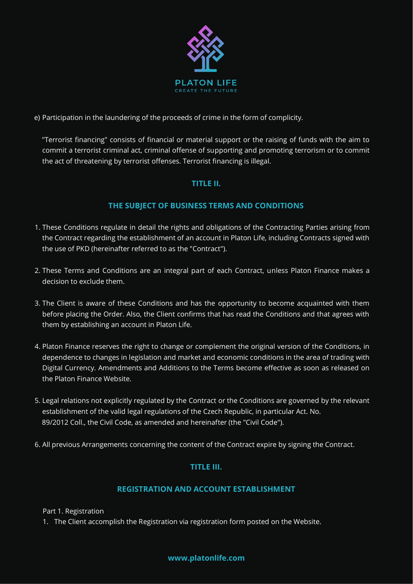

e) Participation in the laundering of the proceeds of crime in the form of complicity.

"Terrorist financing" consists of financial or material support or the raising of funds with the aim to commit a terrorist criminal act, criminal offense of supporting and promoting terrorism or to commit the act of threatening by terrorist offenses. Terrorist financing is illegal.

## **TITLE II.**

### **THE SUBJECT OF BUSINESS TERMS AND CONDITIONS**

- 1. These Conditions regulate in detail the rights and obligations of the Contracting Parties arising from the Contract regarding the establishment of an account in Platon Life, including Contracts signed with the use of PKD (hereinafter referred to as the "Contract").
- 2. These Terms and Conditions are an integral part of each Contract, unless Platon Finance makes a decision to exclude them.
- 3. The Client is aware of these Conditions and has the opportunity to become acquainted with them before placing the Order. Also, the Client confirms that has read the Conditions and that agrees with them by establishing an account in Platon Life.
- 4. Platon Finance reserves the right to change or complement the original version of the Conditions, in dependence to changes in legislation and market and economic conditions in the area of trading with Digital Currency. Amendments and Additions to the Terms become effective as soon as released on the Platon Finance Website.
- 5. Legal relations not explicitly regulated by the Contract or the Conditions are governed by the relevant establishment of the valid legal regulations of the Czech Republic, in particular Act. No. 89/2012 Coll., the Civil Code, as amended and hereinafter (the "Civil Code").
- 6. All previous Arrangements concerning the content of the Contract expire by signing the Contract.

## **TITLE III.**

## **REGISTRATION AND ACCOUNT ESTABLISHMENT**

Part 1. Registration

1. The Client accomplish the Registration via registration form posted on the Website.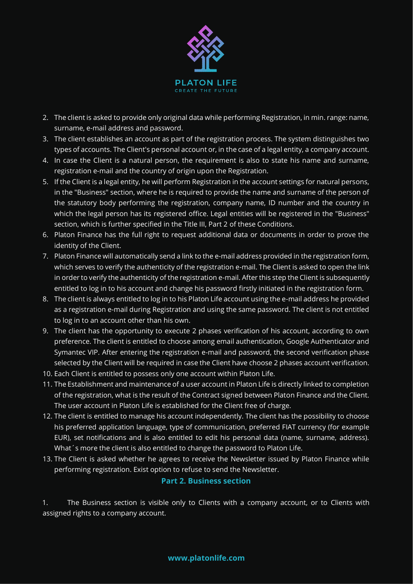

- 2. The client is asked to provide only original data while performing Registration, in min. range: name, surname, e-mail address and password.
- 3. The client establishes an account as part of the registration process. The system distinguishes two types of accounts. The Client's personal account or, in the case of a legal entity, a company account.
- 4. In case the Client is a natural person, the requirement is also to state his name and surname, registration e-mail and the country of origin upon the Registration.
- 5. If the Client is a legal entity, he will perform Registration in the account settings for natural persons, in the "Business" section, where he is required to provide the name and surname of the person of the statutory body performing the registration, company name, ID number and the country in which the legal person has its registered office. Legal entities will be registered in the "Business" section, which is further specified in the Title III, Part 2 of these Conditions.
- 6. Platon Finance has the full right to request additional data or documents in order to prove the identity of the Client.
- 7. Platon Finance will automatically send a link to the e-mail address provided in the registration form, which serves to verify the authenticity of the registration e-mail. The Client is asked to open the link in order to verify the authenticity of the registration e-mail. After this step the Client is subsequently entitled to log in to his account and change his password firstly initiated in the registration form.
- 8. The client is always entitled to log in to his Platon Life account using the e-mail address he provided as a registration e-mail during Registration and using the same password. The client is not entitled to log in to an account other than his own.
- 9. The client has the opportunity to execute 2 phases verification of his account, according to own preference. The client is entitled to choose among email authentication, Google Authenticator and Symantec VIP. After entering the registration e-mail and password, the second verification phase selected by the Client will be required in case the Client have choose 2 phases account verification.
- 10. Each Client is entitled to possess only one account within Platon Life.
- 11. The Establishment and maintenance of a user account in Platon Life is directly linked to completion of the registration, what is the result of the Contract signed between Platon Finance and the Client. The user account in Platon Life is established for the Client free of charge.
- 12. The client is entitled to manage his account independently. The client has the possibility to choose his preferred application language, type of communication, preferred FIAT currency (for example EUR), set notifications and is also entitled to edit his personal data (name, surname, address). What´s more the client is also entitled to change the password to Platon Life.
- 13. The Client is asked whether he agrees to receive the Newsletter issued by Platon Finance while performing registration. Exist option to refuse to send the Newsletter.

### **Part 2. Business section**

1. The Business section is visible only to Clients with a company account, or to Clients with assigned rights to a company account.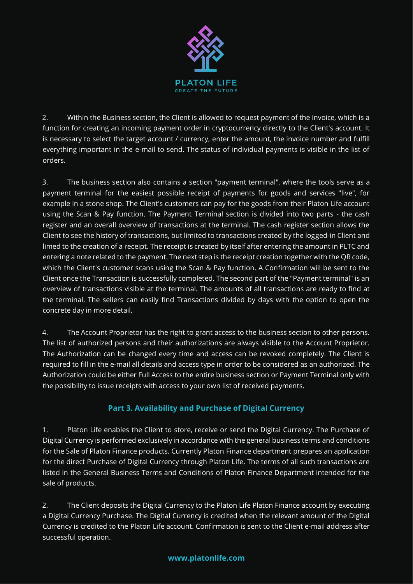

2. Within the Business section, the Client is allowed to request payment of the invoice, which is a function for creating an incoming payment order in cryptocurrency directly to the Client's account. It is necessary to select the target account / currency, enter the amount, the invoice number and fulfill everything important in the e-mail to send. The status of individual payments is visible in the list of orders.

3. The business section also contains a section "payment terminal", where the tools serve as a payment terminal for the easiest possible receipt of payments for goods and services "live", for example in a stone shop. The Client's customers can pay for the goods from their Platon Life account using the Scan & Pay function. The Payment Terminal section is divided into two parts - the cash register and an overall overview of transactions at the terminal. The cash register section allows the Client to see the history of transactions, but limited to transactions created by the logged-in Client and limed to the creation of a receipt. The receipt is created by itself after entering the amount in PLTC and entering a note related to the payment. The next step is the receipt creation together with the QR code, which the Client's customer scans using the Scan & Pay function. A Confirmation will be sent to the Client once the Transaction is successfully completed. The second part of the "Payment terminal" is an overview of transactions visible at the terminal. The amounts of all transactions are ready to find at the terminal. The sellers can easily find Transactions divided by days with the option to open the concrete day in more detail.

4. The Account Proprietor has the right to grant access to the business section to other persons. The list of authorized persons and their authorizations are always visible to the Account Proprietor. The Authorization can be changed every time and access can be revoked completely. The Client is required to fill in the e-mail all details and access type in order to be considered as an authorized. The Authorization could be either Full Access to the entire business section or Payment Terminal only with the possibility to issue receipts with access to your own list of received payments.

# **Part 3. Availability and Purchase of Digital Currency**

1. Platon Life enables the Client to store, receive or send the Digital Currency. The Purchase of Digital Currency is performed exclusively in accordance with the general business terms and conditions for the Sale of Platon Finance products. Currently Platon Finance department prepares an application for the direct Purchase of Digital Currency through Platon Life. The terms of all such transactions are listed in the General Business Terms and Conditions of Platon Finance Department intended for the sale of products.

2. The Client deposits the Digital Currency to the Platon Life Platon Finance account by executing a Digital Currency Purchase. The Digital Currency is credited when the relevant amount of the Digital Currency is credited to the Platon Life account. Confirmation is sent to the Client e-mail address after successful operation.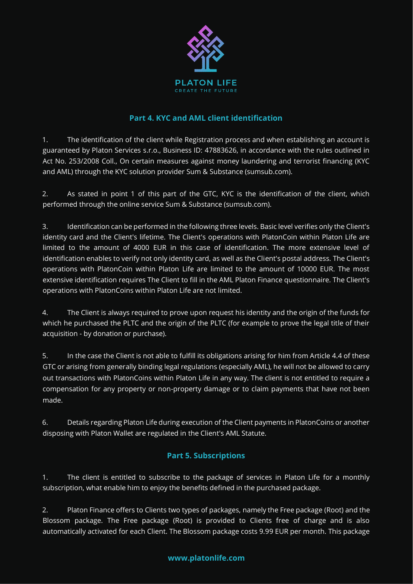

## **Part 4. KYC and AML client identification**

1. The identification of the client while Registration process and when establishing an account is guaranteed by Platon Services s.r.o., Business ID: 47883626, in accordance with the rules outlined in Act No. 253/2008 Coll., On certain measures against money laundering and terrorist financing (KYC and AML) through the KYC solution provider Sum & Substance (sumsub.com).

2. As stated in point 1 of this part of the GTC, KYC is the identification of the client, which performed through the online service Sum & Substance (sumsub.com).

3. Identification can be performed in the following three levels. Basic level verifies only the Client's identity card and the Client's lifetime. The Client's operations with PlatonCoin within Platon Life are limited to the amount of 4000 EUR in this case of identification. The more extensive level of identification enables to verify not only identity card, as well as the Client's postal address. The Client's operations with PlatonCoin within Platon Life are limited to the amount of 10000 EUR. The most extensive identification requires The Client to fill in the AML Platon Finance questionnaire. The Client's operations with PlatonCoins within Platon Life are not limited.

4. The Client is always required to prove upon request his identity and the origin of the funds for which he purchased the PLTC and the origin of the PLTC (for example to prove the legal title of their acquisition - by donation or purchase).

5. In the case the Client is not able to fulfill its obligations arising for him from Article 4.4 of these GTC or arising from generally binding legal regulations (especially AML), he will not be allowed to carry out transactions with PlatonCoins within Platon Life in any way. The client is not entitled to require a compensation for any property or non-property damage or to claim payments that have not been made.

6. Details regarding Platon Life during execution of the Client payments in PlatonCoins or another disposing with Platon Wallet are regulated in the Client's AML Statute.

# **Part 5. Subscriptions**

1. The client is entitled to subscribe to the package of services in Platon Life for a monthly subscription, what enable him to enjoy the benefits defined in the purchased package.

2. Platon Finance offers to Clients two types of packages, namely the Free package (Root) and the Blossom package. The Free package (Root) is provided to Clients free of charge and is also automatically activated for each Client. The Blossom package costs 9.99 EUR per month. This package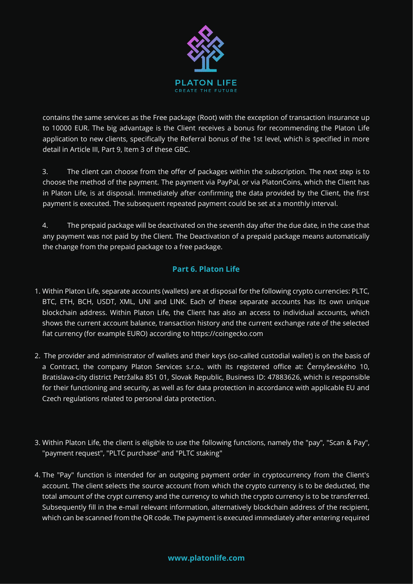

contains the same services as the Free package (Root) with the exception of transaction insurance up to 10000 EUR. The big advantage is the Client receives a bonus for recommending the Platon Life application to new clients, specifically the Referral bonus of the 1st level, which is specified in more detail in Article III, Part 9, Item 3 of these GBC.

3. The client can choose from the offer of packages within the subscription. The next step is to choose the method of the payment. The payment via PayPal, or via PlatonCoins, which the Client has in Platon Life, is at disposal. Immediately after confirming the data provided by the Client, the first payment is executed. The subsequent repeated payment could be set at a monthly interval.

4. The prepaid package will be deactivated on the seventh day after the due date, in the case that any payment was not paid by the Client. The Deactivation of a prepaid package means automatically the change from the prepaid package to a free package.

## **Part 6. Platon Life**

- 1. Within Platon Life, separate accounts (wallets) are at disposal for the following crypto currencies: PLTC, BTC, ETH, BCH, USDT, XML, UNI and LINK. Each of these separate accounts has its own unique blockchain address. Within Platon Life, the Client has also an access to individual accounts, which shows the current account balance, transaction history and the current exchange rate of the selected fiat currency (for example EURO) according to https://coingecko.com
- 2. The provider and administrator of wallets and their keys (so-called custodial wallet) is on the basis of a Contract, the company Platon Services s.r.o., with its registered office at: Černyševského 10, Bratislava-city district Petržalka 851 01, Slovak Republic, Business ID: 47883626, which is responsible for their functioning and security, as well as for data protection in accordance with applicable EU and Czech regulations related to personal data protection.
- 3. Within Platon Life, the client is eligible to use the following functions, namely the "pay", "Scan & Pay", "payment request", "PLTC purchase" and "PLTC staking"
- 4. The "Pay" function is intended for an outgoing payment order in cryptocurrency from the Client's account. The client selects the source account from which the crypto currency is to be deducted, the total amount of the crypt currency and the currency to which the crypto currency is to be transferred. Subsequently fill in the e-mail relevant information, alternatively blockchain address of the recipient, which can be scanned from the QR code. The payment is executed immediately after entering required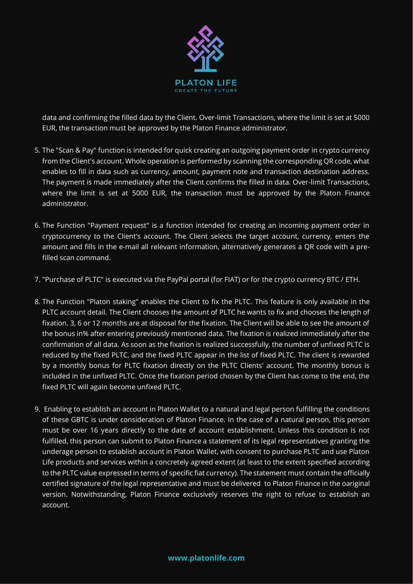

data and confirming the filled data by the Client. Over-limit Transactions, where the limit is set at 5000 EUR, the transaction must be approved by the Platon Finance administrator.

- 5. The "Scan & Pay" function is intended for quick creating an outgoing payment order in crypto currency from the Client's account. Whole operation is performed by scanning the corresponding QR code, what enables to fill in data such as currency, amount, payment note and transaction destination address. The payment is made immediately after the Client confirms the filled in data. Over-limit Transactions, where the limit is set at 5000 EUR, the transaction must be approved by the Platon Finance administrator.
- 6. The Function "Payment request" is a function intended for creating an incoming payment order in cryptocurrency to the Client's account. The Client selects the target account, currency, enters the amount and fills in the e-mail all relevant information, alternatively generates a QR code with a prefilled scan command.
- 7. "Purchase of PLTC" is executed via the PayPal portal (for FIAT) or for the crypto currency BTC / ETH.
- 8. The Function "Platon staking" enables the Client to fix the PLTC. This feature is only available in the PLTC account detail. The Client chooses the amount of PLTC he wants to fix and chooses the length of fixation. 3, 6 or 12 months are at disposal for the fixation. The Client will be able to see the amount of the bonus in% after entering previously mentioned data. The fixation is realized immediately after the confirmation of all data. As soon as the fixation is realized successfully, the number of unfixed PLTC is reduced by the fixed PLTC, and the fixed PLTC appear in the list of fixed PLTC. The client is rewarded by a monthly bonus for PLTC fixation directly on the PLTC Clients' account. The monthly bonus is included in the unfixed PLTC. Once the fixation period chosen by the Client has come to the end, the fixed PLTC will again become unfixed PLTC.
- 9. Enabling to establish an account in Platon Wallet to a natural and legal person fulfilling the conditions of these GBTC is under consideration of Platon Finance. In the case of a natural person, this person must be over 16 years directly to the date of account establishment. Unless this condition is not fulfilled, this person can submit to Platon Finance a statement of its legal representatives granting the underage person to establish account in Platon Wallet, with consent to purchase PLTC and use Platon Life products and services within a concretely agreed extent (at least to the extent specified according to the PLTC value expressed in terms of specific fiat currency). The statement must contain the officially certified signature of the legal representative and must be delivered to Platon Finance in the oariginal version. Notwithstanding, Platon Finance exclusively reserves the right to refuse to establish an account.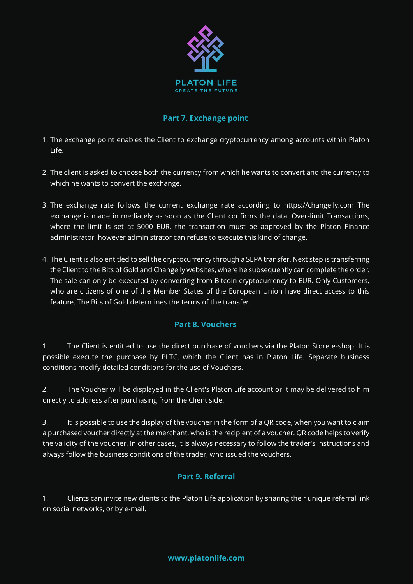

## **Part 7. Exchange point**

- 1. The exchange point enables the Client to exchange cryptocurrency among accounts within Platon Life.
- 2. The client is asked to choose both the currency from which he wants to convert and the currency to which he wants to convert the exchange.
- 3. The exchange rate follows the current exchange rate according to https://changelly.com The exchange is made immediately as soon as the Client confirms the data. Over-limit Transactions, where the limit is set at 5000 EUR, the transaction must be approved by the Platon Finance administrator, however administrator can refuse to execute this kind of change.
- 4. The Client is also entitled to sell the cryptocurrency through a SEPA transfer. Next step is transferring the Client to the Bits of Gold and Changelly websites, where he subsequently can complete the order. The sale can only be executed by converting from Bitcoin cryptocurrency to EUR. Only Customers, who are citizens of one of the Member States of the European Union have direct access to this feature. The Bits of Gold determines the terms of the transfer.

## **Part 8. Vouchers**

1. The Client is entitled to use the direct purchase of vouchers via the Platon Store e-shop. It is possible execute the purchase by PLTC, which the Client has in Platon Life. Separate business conditions modify detailed conditions for the use of Vouchers.

2. The Voucher will be displayed in the Client's Platon Life account or it may be delivered to him directly to address after purchasing from the Client side.

3. It is possible to use the display of the voucher in the form of a QR code, when you want to claim a purchased voucher directly at the merchant, who is the recipient of a voucher. QR code helps to verify the validity of the voucher. In other cases, it is always necessary to follow the trader's instructions and always follow the business conditions of the trader, who issued the vouchers.

## **Part 9. Referral**

1. Clients can invite new clients to the Platon Life application by sharing their unique referral link on social networks, or by e-mail.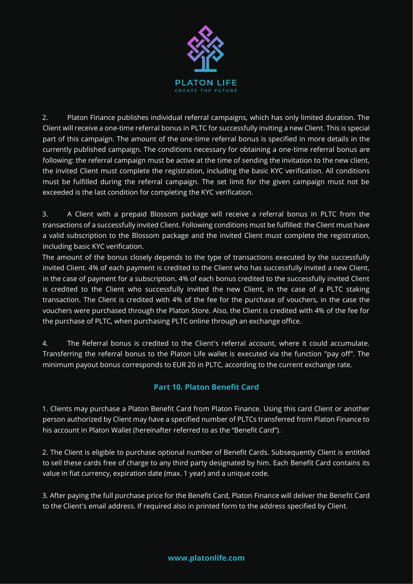

2. Platon Finance publishes individual referral campaigns, which has only limited duration. The Client will receive a one-time referral bonus in PLTC for successfully inviting a new Client. This is special part of this campaign. The amount of the one-time referral bonus is specified in more details in the currently published campaign. The conditions necessary for obtaining a one-time referral bonus are following: the referral campaign must be active at the time of sending the invitation to the new client, the invited Client must complete the registration, including the basic KYC verification. All conditions must be fulfilled during the referral campaign. The set limit for the given campaign must not be exceeded is the last condition for completing the KYC verification.

3. A Client with a prepaid Blossom package will receive a referral bonus in PLTC from the transactions of a successfully invited Client. Following conditions must be fulfilled: the Client must have a valid subscription to the Blossom package and the invited Client must complete the registration, including basic KYC verification.

The amount of the bonus closely depends to the type of transactions executed by the successfully invited Client. 4% of each payment is credited to the Client who has successfully invited a new Client, in the case of payment for a subscription. 4% of each bonus credited to the successfully invited Client is credited to the Client who successfully invited the new Client, in the case of a PLTC staking transaction. The Client is credited with 4% of the fee for the purchase of vouchers, in the case the vouchers were purchased through the Platon Store. Also, the Client is credited with 4% of the fee for the purchase of PLTC, when purchasing PLTC online through an exchange office.

4. The Referral bonus is credited to the Client's referral account, where it could accumulate. Transferring the referral bonus to the Platon Life wallet is executed via the function "pay off". The minimum payout bonus corresponds to EUR 20 in PLTC, according to the current exchange rate.

# **Part 10. Platon Benefit Card**

1. Clients may purchase a Platon Benefit Card from Platon Finance. Using this card Client or another person authorized by Client may have a specified number of PLTCs transferred from Platon Finance to his account in Platon Wallet (hereinafter referred to as the "Benefit Card").

2. The Client is eligible to purchase optional number of Benefit Cards. Subsequently Client is entitled to sell these cards free of charge to any third party designated by him. Each Benefit Card contains its value in fiat currency, expiration date (max. 1 year) and a unique code.

3. After paying the full purchase price for the Benefit Card, Platon Finance will deliver the Benefit Card to the Client's email address. If required also in printed form to the address specified by Client.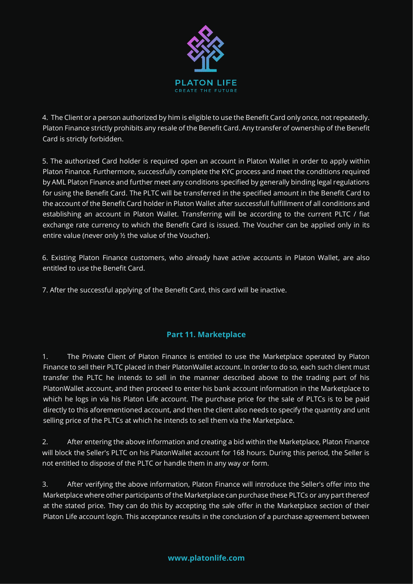

4. The Client or a person authorized by him is eligible to use the Benefit Card only once, not repeatedly. Platon Finance strictly prohibits any resale of the Benefit Card. Any transfer of ownership of the Benefit Card is strictly forbidden.

5. The authorized Card holder is required open an account in Platon Wallet in order to apply within Platon Finance. Furthermore, successfully complete the KYC process and meet the conditions required by AML Platon Finance and further meet any conditions specified by generally binding legal regulations for using the Benefit Card. The PLTC will be transferred in the specified amount in the Benefit Card to the account of the Benefit Card holder in Platon Wallet after successfull fulfillment of all conditions and establishing an account in Platon Wallet. Transferring will be according to the current PLTC / fiat exchange rate currency to which the Benefit Card is issued. The Voucher can be applied only in its entire value (never only ½ the value of the Voucher).

6. Existing Platon Finance customers, who already have active accounts in Platon Wallet, are also entitled to use the Benefit Card.

7. After the successful applying of the Benefit Card, this card will be inactive.

# **Part 11. Marketplace**

1. The Private Client of Platon Finance is entitled to use the Marketplace operated by Platon Finance to sell their PLTC placed in their PlatonWallet account. In order to do so, each such client must transfer the PLTC he intends to sell in the manner described above to the trading part of his PlatonWallet account, and then proceed to enter his bank account information in the Marketplace to which he logs in via his Platon Life account. The purchase price for the sale of PLTCs is to be paid directly to this aforementioned account, and then the client also needs to specify the quantity and unit selling price of the PLTCs at which he intends to sell them via the Marketplace.

2. After entering the above information and creating a bid within the Marketplace, Platon Finance will block the Seller's PLTC on his PlatonWallet account for 168 hours. During this period, the Seller is not entitled to dispose of the PLTC or handle them in any way or form.

3. After verifying the above information, Platon Finance will introduce the Seller's offer into the Marketplace where other participants of the Marketplace can purchase these PLTCs or any part thereof at the stated price. They can do this by accepting the sale offer in the Marketplace section of their Platon Life account login. This acceptance results in the conclusion of a purchase agreement between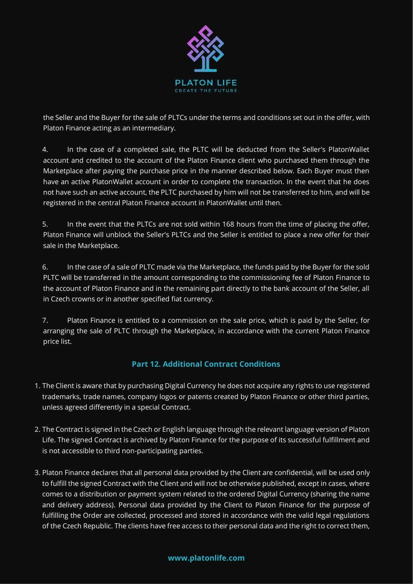

the Seller and the Buyer for the sale of PLTCs under the terms and conditions set out in the offer, with Platon Finance acting as an intermediary.

4. In the case of a completed sale, the PLTC will be deducted from the Seller's PlatonWallet account and credited to the account of the Platon Finance client who purchased them through the Marketplace after paying the purchase price in the manner described below. Each Buyer must then have an active PlatonWallet account in order to complete the transaction. In the event that he does not have such an active account, the PLTC purchased by him will not be transferred to him, and will be registered in the central Platon Finance account in PlatonWallet until then.

5. In the event that the PLTCs are not sold within 168 hours from the time of placing the offer, Platon Finance will unblock the Seller's PLTCs and the Seller is entitled to place a new offer for their sale in the Marketplace.

6. In the case of a sale of PLTC made via the Marketplace, the funds paid by the Buyer for the sold PLTC will be transferred in the amount corresponding to the commissioning fee of Platon Finance to the account of Platon Finance and in the remaining part directly to the bank account of the Seller, all in Czech crowns or in another specified fiat currency.

7. Platon Finance is entitled to a commission on the sale price, which is paid by the Seller, for arranging the sale of PLTC through the Marketplace, in accordance with the current Platon Finance price list.

# **Part 12. Additional Contract Conditions**

- 1. The Client is aware that by purchasing Digital Currency he does not acquire any rights to use registered trademarks, trade names, company logos or patents created by Platon Finance or other third parties, unless agreed differently in a special Contract.
- 2. The Contract is signed in the Czech or English language through the relevant language version of Platon Life. The signed Contract is archived by Platon Finance for the purpose of its successful fulfillment and is not accessible to third non-participating parties.
- 3. Platon Finance declares that all personal data provided by the Client are confidential, will be used only to fulfill the signed Contract with the Client and will not be otherwise published, except in cases, where comes to a distribution or payment system related to the ordered Digital Currency (sharing the name and delivery address). Personal data provided by the Client to Platon Finance for the purpose of fulfilling the Order are collected, processed and stored in accordance with the valid legal regulations of the Czech Republic. The clients have free access to their personal data and the right to correct them,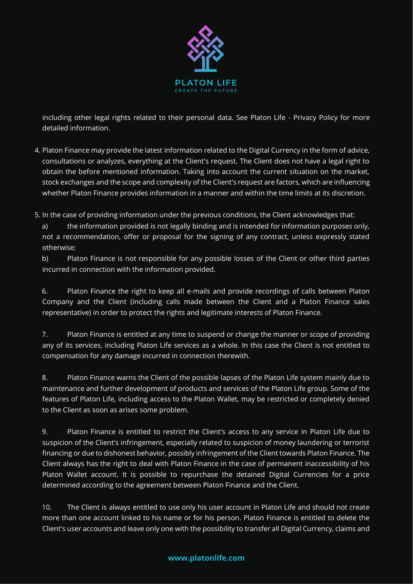

including other legal rights related to their personal data. See Platon Life - Privacy Policy for more detailed information.

4. Platon Finance may provide the latest information related to the Digital Currency in the form of advice, consultations or analyzes, everything at the Client's request. The Client does not have a legal right to obtain the before mentioned information. Taking into account the current situation on the market, stock exchanges and the scope and complexity of the Client's request are factors, which are influencing whether Platon Finance provides information in a manner and within the time limits at its discretion.

5. In the case of providing information under the previous conditions, the Client acknowledges that:

a) the information provided is not legally binding and is intended for information purposes only, not a recommendation, offer or proposal for the signing of any contract, unless expressly stated otherwise;

b) Platon Finance is not responsible for any possible losses of the Client or other third parties incurred in connection with the information provided.

6. Platon Finance the right to keep all e-mails and provide recordings of calls between Platon Company and the Client (including calls made between the Client and a Platon Finance sales representative) in order to protect the rights and legitimate interests of Platon Finance.

7. Platon Finance is entitled at any time to suspend or change the manner or scope of providing any of its services, including Platon Life services as a whole. In this case the Client is not entitled to compensation for any damage incurred in connection therewith.

8. Platon Finance warns the Client of the possible lapses of the Platon Life system mainly due to maintenance and further development of products and services of the Platon Life group. Some of the features of Platon Life, including access to the Platon Wallet, may be restricted or completely denied to the Client as soon as arises some problem.

9. Platon Finance is entitled to restrict the Client's access to any service in Platon Life due to suspicion of the Client's infringement, especially related to suspicion of money laundering or terrorist financing or due to dishonest behavior, possibly infringement of the Client towards Platon Finance. The Client always has the right to deal with Platon Finance in the case of permanent inaccessibility of his Platon Wallet account. It is possible to repurchase the detained Digital Currencies for a price determined according to the agreement between Platon Finance and the Client.

10. The Client is always entitled to use only his user account in Platon Life and should not create more than one account linked to his name or for his person. Platon Finance is entitled to delete the Client's user accounts and leave only one with the possibility to transfer all Digital Currency, claims and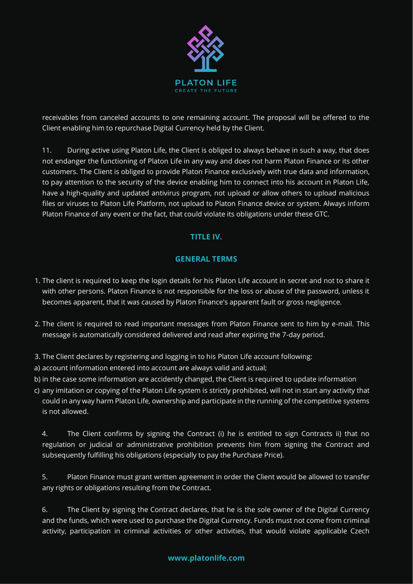

receivables from canceled accounts to one remaining account. The proposal will be offered to the Client enabling him to repurchase Digital Currency held by the Client.

11. During active using Platon Life, the Client is obliged to always behave in such a way, that does not endanger the functioning of Platon Life in any way and does not harm Platon Finance or its other customers. The Client is obliged to provide Platon Finance exclusively with true data and information, to pay attention to the security of the device enabling him to connect into his account in Platon Life, have a high-quality and updated antivirus program, not upload or allow others to upload malicious files or viruses to Platon Life Platform, not upload to Platon Finance device or system. Always inform Platon Finance of any event or the fact, that could violate its obligations under these GTC.

## **TITLE IV.**

### **GENERAL TERMS**

- 1. The client is required to keep the login details for his Platon Life account in secret and not to share it with other persons. Platon Finance is not responsible for the loss or abuse of the password, unless it becomes apparent, that it was caused by Platon Finance's apparent fault or gross negligence.
- 2. The client is required to read important messages from Platon Finance sent to him by e-mail. This message is automatically considered delivered and read after expiring the 7-day period.
- 3. The Client declares by registering and logging in to his Platon Life account following:
- a) account information entered into account are always valid and actual;
- b) in the case some information are accidently changed, the Client is required to update information
- c) any imitation or copying of the Platon Life system is strictly prohibited, will not in start any activity that could in any way harm Platon Life, ownership and participate in the running of the competitive systems is not allowed.

4. The Client confirms by signing the Contract (i) he is entitled to sign Contracts ii) that no regulation or judicial or administrative prohibition prevents him from signing the Contract and subsequently fulfilling his obligations (especially to pay the Purchase Price).

5. Platon Finance must grant written agreement in order the Client would be allowed to transfer any rights or obligations resulting from the Contract.

6. The Client by signing the Contract declares, that he is the sole owner of the Digital Currency and the funds, which were used to purchase the Digital Currency. Funds must not come from criminal activity, participation in criminal activities or other activities, that would violate applicable Czech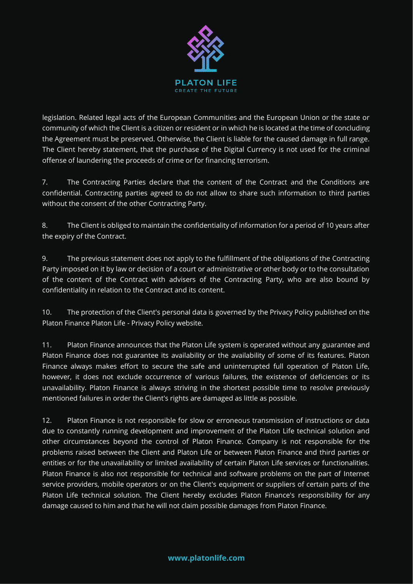

legislation. Related legal acts of the European Communities and the European Union or the state or community of which the Client is a citizen or resident or in which he is located at the time of concluding the Agreement must be preserved. Otherwise, the Client is liable for the caused damage in full range. The Client hereby statement, that the purchase of the Digital Currency is not used for the criminal offense of laundering the proceeds of crime or for financing terrorism.

7. The Contracting Parties declare that the content of the Contract and the Conditions are confidential. Contracting parties agreed to do not allow to share such information to third parties without the consent of the other Contracting Party.

8. The Client is obliged to maintain the confidentiality of information for a period of 10 years after the expiry of the Contract.

9. The previous statement does not apply to the fulfillment of the obligations of the Contracting Party imposed on it by law or decision of a court or administrative or other body or to the consultation of the content of the Contract with advisers of the Contracting Party, who are also bound by confidentiality in relation to the Contract and its content.

10. The protection of the Client's personal data is governed by the Privacy Policy published on the Platon Finance Platon Life - Privacy Policy website.

11. Platon Finance announces that the Platon Life system is operated without any guarantee and Platon Finance does not guarantee its availability or the availability of some of its features. Platon Finance always makes effort to secure the safe and uninterrupted full operation of Platon Life, however, it does not exclude occurrence of various failures, the existence of deficiencies or its unavailability. Platon Finance is always striving in the shortest possible time to resolve previously mentioned failures in order the Client's rights are damaged as little as possible.

12. Platon Finance is not responsible for slow or erroneous transmission of instructions or data due to constantly running development and improvement of the Platon Life technical solution and other circumstances beyond the control of Platon Finance. Company is not responsible for the problems raised between the Client and Platon Life or between Platon Finance and third parties or entities or for the unavailability or limited availability of certain Platon Life services or functionalities. Platon Finance is also not responsible for technical and software problems on the part of Internet service providers, mobile operators or on the Client's equipment or suppliers of certain parts of the Platon Life technical solution. The Client hereby excludes Platon Finance's responsibility for any damage caused to him and that he will not claim possible damages from Platon Finance.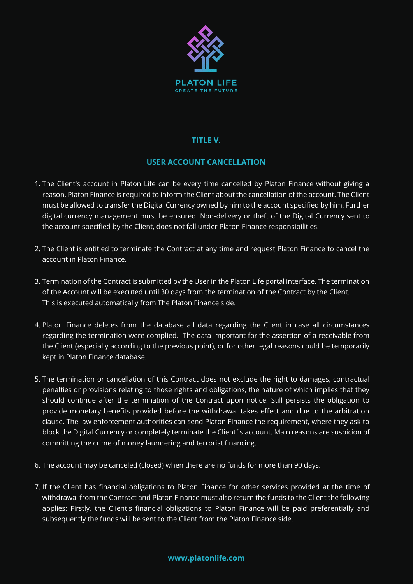

## **TITLE V.**

## **USER ACCOUNT CANCELLATION**

- 1. The Client's account in Platon Life can be every time cancelled by Platon Finance without giving a reason. Platon Finance is required to inform the Client about the cancellation of the account. The Client must be allowed to transfer the Digital Currency owned by him to the account specified by him. Further digital currency management must be ensured. Non-delivery or theft of the Digital Currency sent to the account specified by the Client, does not fall under Platon Finance responsibilities.
- 2. The Client is entitled to terminate the Contract at any time and request Platon Finance to cancel the account in Platon Finance.
- 3. Termination of the Contract is submitted by the User in the Platon Life portal interface. The termination of the Account will be executed until 30 days from the termination of the Contract by the Client. This is executed automatically from The Platon Finance side.
- 4. Platon Finance deletes from the database all data regarding the Client in case all circumstances regarding the termination were complied. The data important for the assertion of a receivable from the Client (especially according to the previous point), or for other legal reasons could be temporarily kept in Platon Finance database.
- 5. The termination or cancellation of this Contract does not exclude the right to damages, contractual penalties or provisions relating to those rights and obligations, the nature of which implies that they should continue after the termination of the Contract upon notice. Still persists the obligation to provide monetary benefits provided before the withdrawal takes effect and due to the arbitration clause. The law enforcement authorities can send Platon Finance the requirement, where they ask to block the Digital Currency or completely terminate the Client´s account. Main reasons are suspicion of committing the crime of money laundering and terrorist financing.
- 6. The account may be canceled (closed) when there are no funds for more than 90 days.
- 7. If the Client has financial obligations to Platon Finance for other services provided at the time of withdrawal from the Contract and Platon Finance must also return the funds to the Client the following applies: Firstly, the Client's financial obligations to Platon Finance will be paid preferentially and subsequently the funds will be sent to the Client from the Platon Finance side.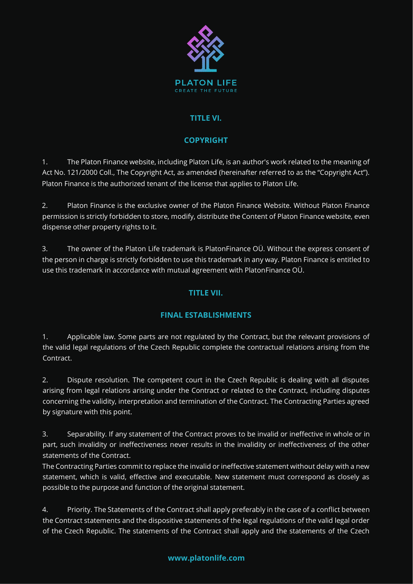

## **TITLE VI.**

# **COPYRIGHT**

1. The Platon Finance website, including Platon Life, is an author's work related to the meaning of Act No. 121/2000 Coll., The Copyright Act, as amended (hereinafter referred to as the "Copyright Act"). Platon Finance is the authorized tenant of the license that applies to Platon Life.

2. Platon Finance is the exclusive owner of the Platon Finance Website. Without Platon Finance permission is strictly forbidden to store, modify, distribute the Content of Platon Finance website, even dispense other property rights to it.

3. The owner of the Platon Life trademark is PlatonFinance OÜ. Without the express consent of the person in charge is strictly forbidden to use this trademark in any way. Platon Finance is entitled to use this trademark in accordance with mutual agreement with PlatonFinance OÜ.

# **TITLE VII.**

## **FINAL ESTABLISHMENTS**

1. Applicable law. Some parts are not regulated by the Contract, but the relevant provisions of the valid legal regulations of the Czech Republic complete the contractual relations arising from the Contract.

2. Dispute resolution. The competent court in the Czech Republic is dealing with all disputes arising from legal relations arising under the Contract or related to the Contract, including disputes concerning the validity, interpretation and termination of the Contract. The Contracting Parties agreed by signature with this point.

3. Separability. If any statement of the Contract proves to be invalid or ineffective in whole or in part, such invalidity or ineffectiveness never results in the invalidity or ineffectiveness of the other statements of the Contract.

The Contracting Parties commit to replace the invalid or ineffective statement without delay with a new statement, which is valid, effective and executable. New statement must correspond as closely as possible to the purpose and function of the original statement.

4. Priority. The Statements of the Contract shall apply preferably in the case of a conflict between the Contract statements and the dispositive statements of the legal regulations of the valid legal order of the Czech Republic. The statements of the Contract shall apply and the statements of the Czech